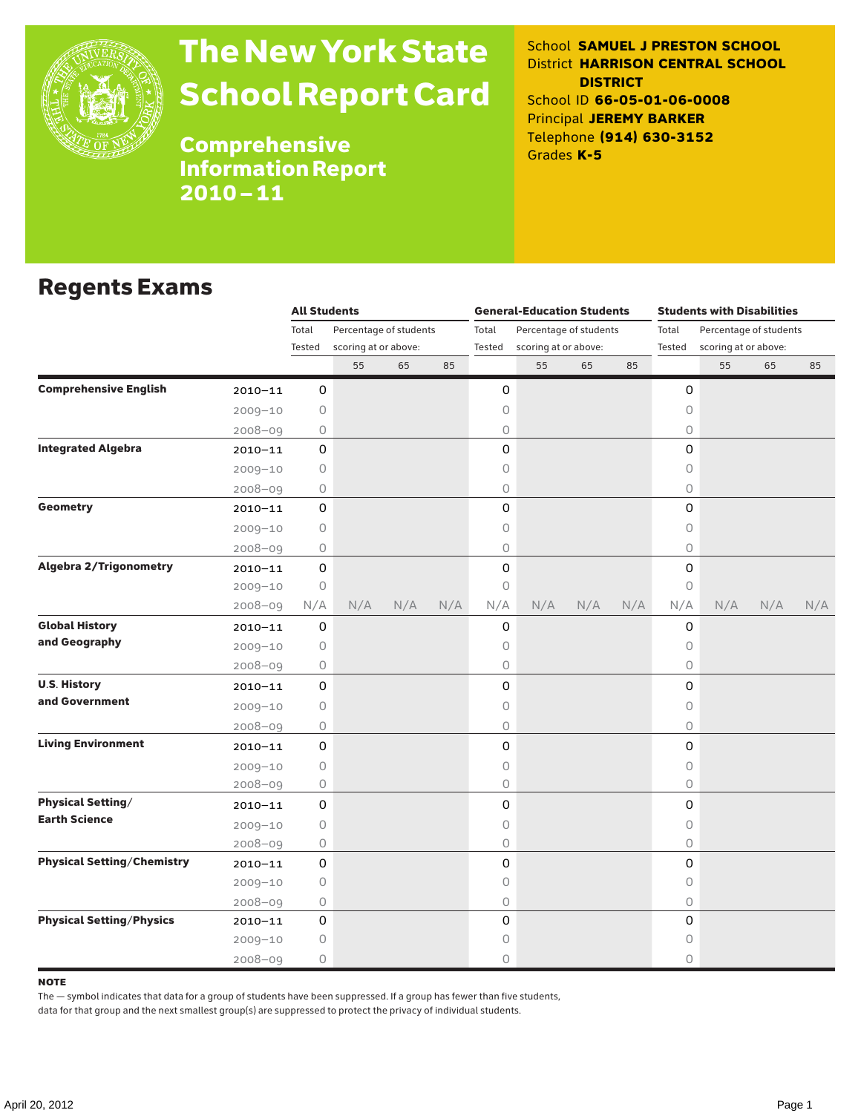

## The New York State School Report Card

School **SAMUEL J PRESTON SCHOOL** District **HARRISON CENTRAL SCHOOL DISTRICT** School ID **66-05-01-06-0008** Principal **JEREMY BARKER** Telephone **(914) 630-3152** Grades **K-5**

Comprehensive Information Report 2010–11

### Regents Exams

|                                   |             | <b>All Students</b>             |                      |          |     |        | <b>General-Education Students</b> |                        |     | <b>Students with Disabilities</b> |                      |     |     |  |
|-----------------------------------|-------------|---------------------------------|----------------------|----------|-----|--------|-----------------------------------|------------------------|-----|-----------------------------------|----------------------|-----|-----|--|
|                                   |             | Total<br>Percentage of students |                      |          |     | Total  |                                   | Percentage of students |     | Total<br>Percentage of students   |                      |     |     |  |
|                                   |             | Tested                          | scoring at or above: |          |     | Tested | scoring at or above:              |                        |     | Tested                            | scoring at or above: |     |     |  |
|                                   |             |                                 | 55                   | 65<br>85 |     |        | 55                                | 65                     | 85  |                                   | 55                   | 65  | 85  |  |
| <b>Comprehensive English</b>      | $2010 - 11$ | 0                               |                      |          |     | 0      |                                   |                        |     | 0                                 |                      |     |     |  |
|                                   | $2009 - 10$ | 0                               |                      |          |     | 0      |                                   |                        |     | 0                                 |                      |     |     |  |
|                                   | $2008 - 09$ | 0                               |                      |          |     | 0      |                                   |                        |     | $\bigcirc$                        |                      |     |     |  |
| <b>Integrated Algebra</b>         | $2010 - 11$ | 0                               |                      |          |     | 0      |                                   |                        |     | 0                                 |                      |     |     |  |
|                                   | $2009 - 10$ | 0                               |                      |          |     | 0      |                                   |                        |     | $\circ$                           |                      |     |     |  |
|                                   | $2008 - 09$ | 0                               |                      |          |     | 0      |                                   |                        |     | $\circ$                           |                      |     |     |  |
| <b>Geometry</b>                   | $2010 - 11$ | $\mathbf 0$                     |                      |          |     | 0      |                                   |                        |     | $\Omega$                          |                      |     |     |  |
|                                   | $2009 - 10$ | 0                               |                      |          |     | 0      |                                   |                        |     | 0                                 |                      |     |     |  |
|                                   | $2008 - 09$ | 0                               |                      |          |     | 0      |                                   |                        |     | 0                                 |                      |     |     |  |
| <b>Algebra 2/Trigonometry</b>     | $2010 - 11$ | 0                               |                      |          |     | 0      |                                   |                        |     | $\mathsf{O}\xspace$               |                      |     |     |  |
|                                   | $2009 - 10$ | $\bigcirc$                      |                      |          |     | 0      |                                   |                        |     | $\circ$                           |                      |     |     |  |
|                                   | $2008 - 09$ | N/A                             | N/A                  | N/A      | N/A | N/A    | N/A                               | N/A                    | N/A | N/A                               | N/A                  | N/A | N/A |  |
| <b>Global History</b>             | $2010 - 11$ | 0                               |                      |          |     | 0      |                                   |                        |     | 0                                 |                      |     |     |  |
| and Geography                     | $2009 - 10$ | 0                               |                      |          |     | 0      |                                   |                        |     | 0                                 |                      |     |     |  |
|                                   | $2008 - 09$ | 0                               |                      |          |     | 0      |                                   |                        |     | 0                                 |                      |     |     |  |
| <b>U.S. History</b>               | 2010-11     | 0                               |                      |          |     | 0      |                                   |                        |     | 0                                 |                      |     |     |  |
| and Government                    | $2009 - 10$ | 0                               |                      |          |     | 0      |                                   |                        |     | $\bigcirc$                        |                      |     |     |  |
|                                   | $2008 - 09$ | 0                               |                      |          |     | 0      |                                   |                        |     | $\circ$                           |                      |     |     |  |
| <b>Living Environment</b>         | $2010 - 11$ | 0                               |                      |          |     | 0      |                                   |                        |     | $\mathsf{O}$                      |                      |     |     |  |
|                                   | $2009 - 10$ | $\circ$                         |                      |          |     | 0      |                                   |                        |     | $\circ$                           |                      |     |     |  |
|                                   | $2008 - 09$ | $\bigcirc$                      |                      |          |     | 0      |                                   |                        |     | $\circ$                           |                      |     |     |  |
| <b>Physical Setting/</b>          | $2010 - 11$ | 0                               |                      |          |     | 0      |                                   |                        |     | 0                                 |                      |     |     |  |
| <b>Earth Science</b>              | $2009 - 10$ | 0                               |                      |          |     | 0      |                                   |                        |     | $\circ$                           |                      |     |     |  |
|                                   | $2008 - 09$ | 0                               |                      |          |     | 0      |                                   |                        |     | 0                                 |                      |     |     |  |
| <b>Physical Setting/Chemistry</b> | $2010 - 11$ | 0                               |                      |          |     | 0      |                                   |                        |     | 0                                 |                      |     |     |  |
|                                   | $2009 - 10$ | $\circ$                         |                      |          |     | 0      |                                   |                        |     | $\circ$                           |                      |     |     |  |
|                                   | $2008 - 09$ | 0                               |                      |          |     | 0      |                                   |                        |     | $\circ$                           |                      |     |     |  |
| <b>Physical Setting/Physics</b>   | $2010 - 11$ | 0                               |                      |          |     | 0      |                                   |                        |     | 0                                 |                      |     |     |  |
|                                   | $2009 - 10$ | 0                               |                      |          |     | 0      |                                   |                        |     | 0                                 |                      |     |     |  |
|                                   | $2008 - 09$ | 0                               |                      |          |     | 0      |                                   |                        |     | $\circ$                           |                      |     |     |  |

#### **NOTE**

The — symbol indicates that data for a group of students have been suppressed. If a group has fewer than five students,

data for that group and the next smallest group(s) are suppressed to protect the privacy of individual students.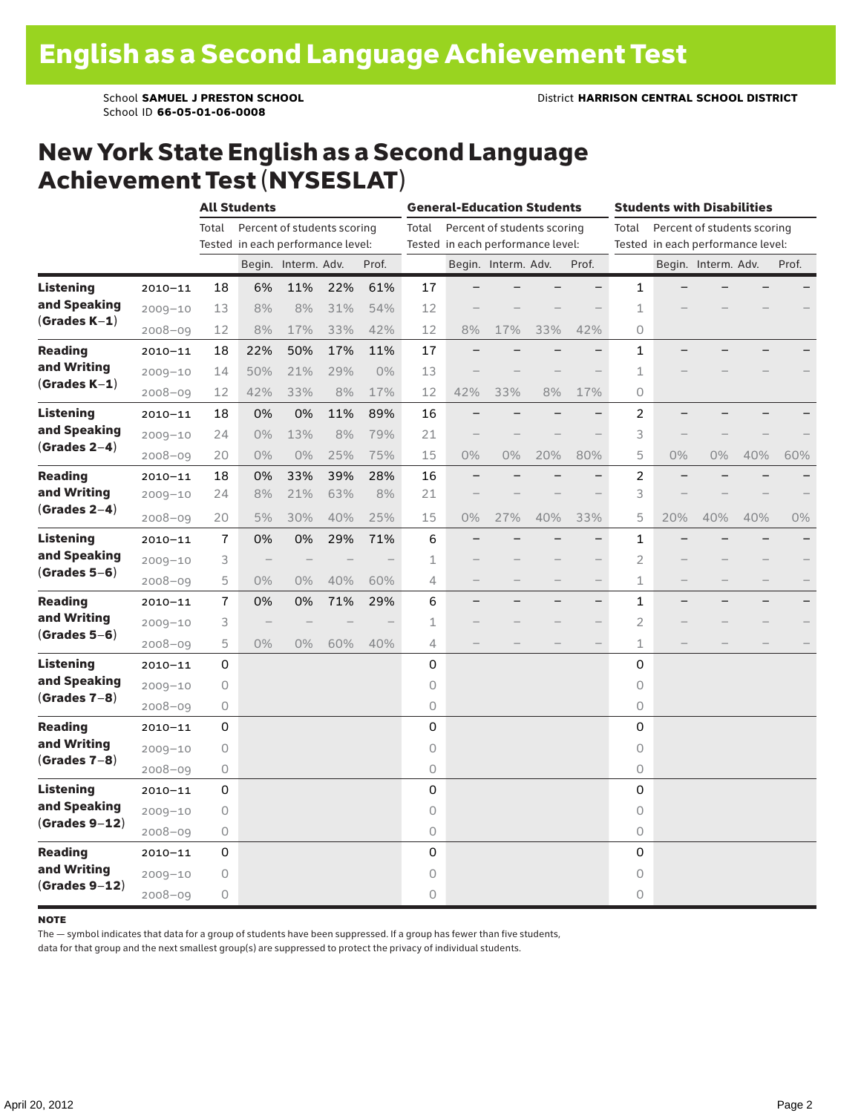School **SAMUEL J PRESTON SCHOOL** District **HARRISON CENTRAL SCHOOL DISTRICT** School ID **66-05-01-06-0008**

## New York State English as a Second Language Achievement Test (NYSESLAT)

|                                                     |             | <b>All Students</b>                  |                                   |                     |     |       |                | <b>General-Education Students</b> |                             |     | <b>Students with Disabilities</b> |                                      |                          |                     |     |       |  |
|-----------------------------------------------------|-------------|--------------------------------------|-----------------------------------|---------------------|-----|-------|----------------|-----------------------------------|-----------------------------|-----|-----------------------------------|--------------------------------------|--------------------------|---------------------|-----|-------|--|
|                                                     |             | Percent of students scoring<br>Total |                                   |                     |     |       | Total          |                                   | Percent of students scoring |     |                                   | Percent of students scoring<br>Total |                          |                     |     |       |  |
|                                                     |             |                                      | Tested in each performance level: |                     |     |       |                | Tested in each performance level: |                             |     |                                   | Tested in each performance level:    |                          |                     |     |       |  |
|                                                     |             |                                      |                                   | Begin. Interm. Adv. |     | Prof. |                |                                   | Begin. Interm. Adv.         |     | Prof.                             |                                      |                          | Begin. Interm. Adv. |     | Prof. |  |
| <b>Listening</b>                                    | $2010 - 11$ | 18                                   | 6%                                | 11%                 | 22% | 61%   | 17             |                                   |                             |     | $\overline{\phantom{0}}$          | 1                                    |                          |                     |     |       |  |
| and Speaking<br>$(Grades K-1)$                      | $2009 - 10$ | 13                                   | 8%                                | 8%                  | 31% | 54%   | 12             |                                   |                             |     |                                   | $\mathbf 1$                          |                          |                     |     |       |  |
|                                                     | $2008 - 09$ | 12                                   | 8%                                | 17%                 | 33% | 42%   | 12             | 8%                                | 17%                         | 33% | 42%                               | 0                                    |                          |                     |     |       |  |
| <b>Reading</b>                                      | $2010 - 11$ | 18                                   | 22%                               | 50%                 | 17% | 11%   | 17             |                                   |                             |     |                                   | 1                                    |                          |                     |     |       |  |
| and Writing                                         | $2009 - 10$ | 14                                   | 50%                               | 21%                 | 29% | 0%    | 13             |                                   |                             |     |                                   | 1                                    |                          |                     |     |       |  |
| $(Grades K-1)$                                      | $2008 - 09$ | 12                                   | 42%                               | 33%                 | 8%  | 17%   | 12             | 42%                               | 33%                         | 8%  | 17%                               | 0                                    |                          |                     |     |       |  |
| Listening<br>and Speaking<br>$(Grades 2-4)$         | $2010 - 11$ | 18                                   | 0%                                | 0%                  | 11% | 89%   | 16             |                                   |                             |     |                                   | 2                                    |                          |                     |     |       |  |
|                                                     | $2009 - 10$ | 24                                   | 0%                                | 13%                 | 8%  | 79%   | 21             |                                   |                             |     |                                   | 3                                    |                          |                     |     |       |  |
|                                                     | $2008 - 09$ | 20                                   | 0%                                | $0\%$               | 25% | 75%   | 15             | 0%                                | $0\%$                       | 20% | 80%                               | 5                                    | 0%                       | 0%                  | 40% | 60%   |  |
| <b>Reading</b><br>and Writing<br>$(Grades 2-4)$     | $2010 - 11$ | 18                                   | 0%                                | 33%                 | 39% | 28%   | 16             |                                   |                             |     |                                   | 2                                    |                          |                     |     |       |  |
|                                                     | $2009 - 10$ | 24                                   | 8%                                | 21%                 | 63% | 8%    | 21             |                                   |                             |     |                                   | 3                                    |                          |                     |     |       |  |
|                                                     | $2008 - 09$ | 20                                   | 5%                                | 30%                 | 40% | 25%   | 15             | 0%                                | 27%                         | 40% | 33%                               | 5                                    | 20%                      | 40%                 | 40% | $0\%$ |  |
| <b>Listening</b><br>and Speaking<br>$(Grades 5-6)$  | $2010 - 11$ | $\overline{1}$                       | 0%                                | 0%                  | 29% | 71%   | 6              |                                   |                             |     |                                   | 1                                    |                          |                     |     |       |  |
|                                                     | $2009 - 10$ | 3                                    |                                   |                     |     |       | $\mathbf 1$    |                                   |                             |     |                                   | $\overline{2}$                       |                          |                     |     |       |  |
|                                                     | $2008 - 09$ | 5                                    | $0\%$                             | 0%                  | 40% | 60%   | 4              |                                   |                             |     |                                   | 1                                    | -                        |                     |     |       |  |
| Reading<br>and Writing<br>$(Grades 5-6)$            | $2010 - 11$ | 7                                    | 0%                                | 0%                  | 71% | 29%   | 6              |                                   |                             |     | $\overline{\phantom{0}}$          | 1                                    | $\overline{\phantom{0}}$ |                     |     |       |  |
|                                                     | $2009 - 10$ | 3                                    | $\qquad \qquad -$                 |                     |     |       | 1              |                                   |                             |     | $\overline{\phantom{0}}$          | 2                                    |                          |                     |     |       |  |
|                                                     | $2008 - 09$ | 5                                    | $0\%$                             | 0%                  | 60% | 40%   | $\overline{4}$ |                                   |                             |     |                                   | 1                                    |                          |                     |     |       |  |
| <b>Listening</b><br>and Speaking<br>$(Grades 7-8)$  | $2010 - 11$ | 0                                    |                                   |                     |     |       | $\mathbf 0$    |                                   |                             |     |                                   | 0                                    |                          |                     |     |       |  |
|                                                     | $2009 - 10$ | $\mathsf O$                          |                                   |                     |     |       | $\circ$        |                                   |                             |     |                                   | 0                                    |                          |                     |     |       |  |
|                                                     | $2008 - 09$ | $\circ$                              |                                   |                     |     |       | 0              |                                   |                             |     |                                   | 0                                    |                          |                     |     |       |  |
| Reading<br>and Writing<br>$(Grades 7-8)$            | $2010 - 11$ | 0                                    |                                   |                     |     |       | 0              |                                   |                             |     |                                   | 0                                    |                          |                     |     |       |  |
|                                                     | $2009 - 10$ | 0                                    |                                   |                     |     |       | $\circ$        |                                   |                             |     |                                   | 0                                    |                          |                     |     |       |  |
|                                                     | $2008 - 09$ | $\bigcirc$                           |                                   |                     |     |       | $\mathsf O$    |                                   |                             |     |                                   | 0                                    |                          |                     |     |       |  |
| <b>Listening</b><br>and Speaking<br>$(Grades 9-12)$ | $2010 - 11$ | 0                                    |                                   |                     |     |       | $\mathsf 0$    |                                   |                             |     |                                   | 0                                    |                          |                     |     |       |  |
|                                                     | $2009 - 10$ | 0                                    |                                   |                     |     |       | $\circ$        |                                   |                             |     |                                   | 0                                    |                          |                     |     |       |  |
|                                                     | $2008 - 09$ | 0                                    |                                   |                     |     |       | $\mathsf O$    |                                   |                             |     |                                   | 0                                    |                          |                     |     |       |  |
| Reading<br>and Writing<br>$(Grades 9-12)$           | $2010 - 11$ | 0                                    |                                   |                     |     |       | 0              |                                   |                             |     |                                   | 0                                    |                          |                     |     |       |  |
|                                                     | $2009 - 10$ | 0                                    |                                   |                     |     |       | $\circ$        |                                   |                             |     |                                   | $\circ$                              |                          |                     |     |       |  |
|                                                     | $2008 - 09$ | 0                                    |                                   |                     |     |       | $\circ$        |                                   |                             |     |                                   | 0                                    |                          |                     |     |       |  |

#### note

The — symbol indicates that data for a group of students have been suppressed. If a group has fewer than five students,

data for that group and the next smallest group(s) are suppressed to protect the privacy of individual students.